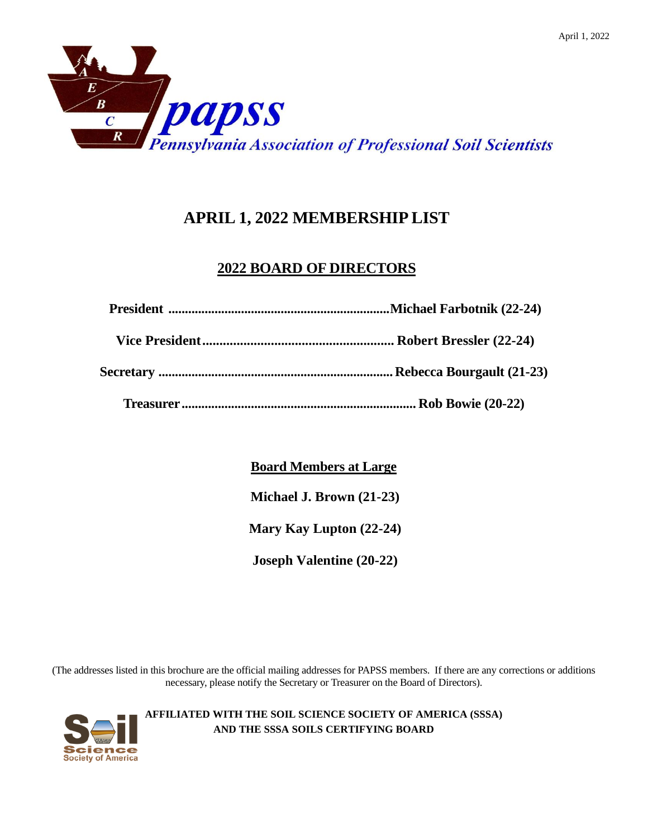

# **APRIL 1, 2022 MEMBERSHIP LIST**

# **2022 BOARD OF DIRECTORS**

**Board Members at Large**

**Michael J. Brown (21-23)**

**Mary Kay Lupton (22-24)**

**Joseph Valentine (20-22)**

(The addresses listed in this brochure are the official mailing addresses for PAPSS members. If there are any corrections or additions necessary, please notify the Secretary or Treasurer on the Board of Directors).

> **AFFILIATED WITH THE SOIL SCIENCE SOCIETY OF AMERICA (SSSA) AND THE SSSA SOILS CERTIFYING BOARD**

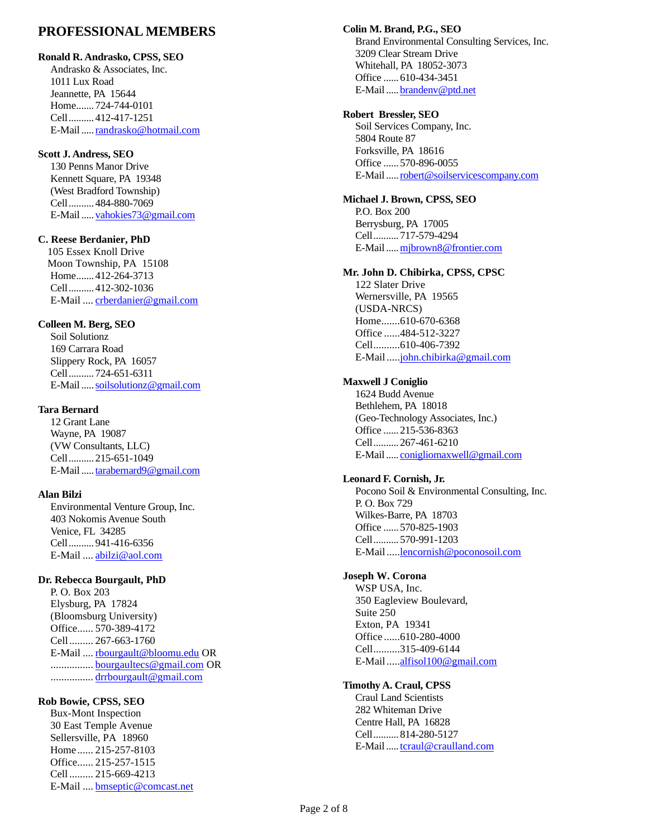# **PROFESSIONAL MEMBERS**

## **Ronald R. Andrasko, CPSS, SEO**

Andrasko & Associates, Inc. 1011 Lux Road Jeannette, PA 15644 Home.......724-744-0101 Cell..........412-417-1251 E-Mail....[.randrasko@hotmail.com](mailto:randrasko@hotmail.com)

# **Scott J. Andress, SEO**

130 Penns Manor Drive Kennett Square, PA 19348 (West Bradford Township) Cell..........484-880-7069 E-Mail....[.vahokies73@gmail.com](mailto:vahokies73@gmail.com)

# **C. Reese Berdanier, PhD**

105 Essex Knoll Drive Moon Township, PA 15108 Home.......412-264-3713 Cell..........412-302-1036 E-Mail .... [crberdanier@gmail.com](mailto:crberdanier@gmail.com)

# **Colleen M. Berg, SEO**

Soil Solutionz 169 Carrara Road Slippery Rock, PA 16057 Cell..........724-651-6311 E-Mail....[.soilsolutionz@gmail.com](mailto:soilsolutionz@gmail.com)

# **Tara Bernard**

12 Grant Lane Wayne, PA 19087 (VW Consultants, LLC) Cell..........215-651-1049 E-Mail....[.tarabernard9@gmail.com](mailto:tarabernard9@gmail.com)

# **Alan Bilzi**

Environmental Venture Group, Inc. 403 Nokomis Avenue South Venice, FL 34285 Cell..........941-416-6356 E-Mail .... [abilzi@aol.com](mailto:abilzi@aol.com)

# **Dr. Rebecca Bourgault, PhD**

P. O. Box 203 Elysburg, PA 17824 (Bloomsburg University) Office...... 570-389-4172 Cell......... 267-663-1760 E-Mail .... [rbourgault@bloomu.edu](mailto:rbourgault@bloomu.edu) OR ................ [bourgaultecs@gmail.com](mailto:bourgaultecs@gmail.com) OR ................ [drrbourgault@gmail.com](mailto:drrbourgault@gmail.com)

# **Rob Bowie, CPSS, SEO**

Bux-Mont Inspection 30 East Temple Avenue Sellersville, PA 18960 Home ...... 215-257-8103 Office...... 215-257-1515 Cell ......... 215-669-4213 E-Mail .... [bmseptic@comcast.net](mailto:bmseptic@comcast.net)

# **Colin M. Brand, P.G., SEO**

Brand Environmental Consulting Services, Inc. 3209 Clear Stream Drive Whitehall, PA 18052-3073 Office ......610-434-3451 E-Mail....[.brandenv@ptd.net](mailto:brandenv@ptd.net)

# **Robert Bressler, SEO**

Soil Services Company, Inc. 5804 Route 87 Forksville, PA 18616 Office ......570-896-0055 E-Mail....[.robert@soilservicescompany.com](mailto:robert@soilservicescompany.com)

# **Michael J. Brown, CPSS, SEO**

P.O. Box 200 Berrysburg, PA 17005 Cell..........717-579-4294 E-Mail..... mjbrown8@frontier.com

# **Mr. John D. Chibirka, CPSS, CPSC**

122 Slater Drive Wernersville, PA 19565 (USDA-NRCS) Home.......610-670-6368 Office ......484-512-3227 Cell..........610-406-7392 E-Mail....[.john.chibirka@gmail.com](mailto:john.chibirka@gmail.com)

### **Maxwell J Coniglio**

1624 Budd Avenue Bethlehem, PA 18018 (Geo-Technology Associates, Inc.) Office ......215-536-8363 Cell..........267-461-6210 E-Mail..... [conigliomaxwell@gmail.com](mailto:conigliomaxwell@gmail.com)

### **Leonard F. Cornish, Jr.**

Pocono Soil & Environmental Consulting, Inc. P. O. Box 729 Wilkes-Barre, PA 18703 Office ......570-825-1903 Cell..........570-991-1203 E-Mail....[.lencornish@poconosoil.com](mailto:lencornish@poconosoil.com)

### **Joseph W. Corona**

WSP USA, Inc. 350 Eagleview Boulevard, Suite 250 Exton, PA 19341 Office ......610-280-4000 Cell..........315-409-6144 E-Mail....[.alfisol100@gmail.com](mailto:alfisol100@gmail.com)

### **Timothy A. Craul, CPSS**

Craul Land Scientists 282 Whiteman Drive Centre Hall, PA 16828 Cell..........814-280-5127 E-Mail....[.tcraul@craulland.com](mailto:tcraul@craulland.com)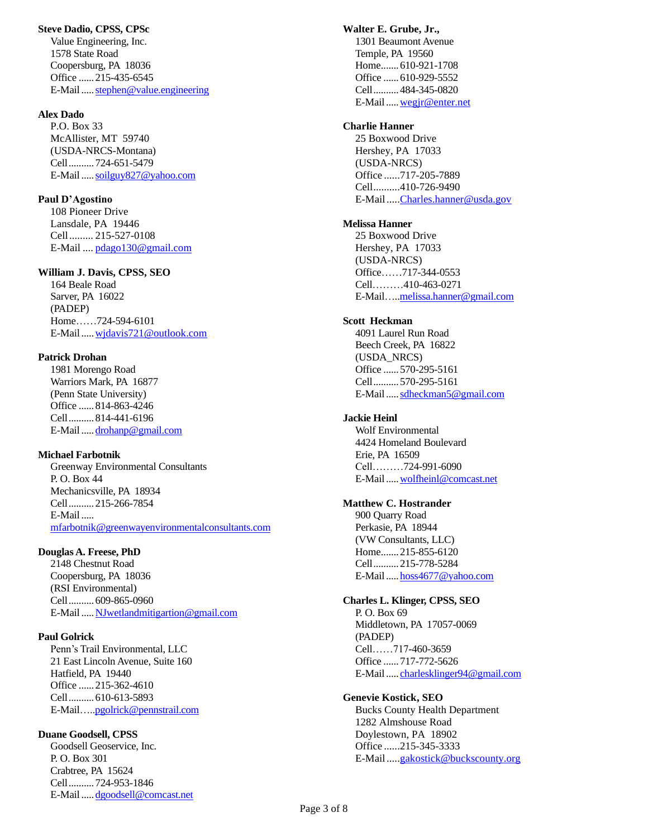#### **Steve Dadio, CPSS, CPSc**

Value Engineering, Inc. 1578 State Road Coopersburg, PA 18036 Office ......215-435-6545 E-Mail..... stephen@value.engineering

#### **Alex Dado**

P.O. Box 33 McAllister, MT 59740 (USDA-NRCS-Montana) Cell..........724-651-5479 E-Mail....[.soilguy827@yahoo.com](mailto:soilguy827@yahoo.com) 

#### **Paul D'Agostino**

108 Pioneer Drive Lansdale, PA 19446 Cell......... 215-527-0108 E-Mail .... [pdago130@gmail.com](mailto:pdago130@gmail.com)

#### **William J. Davis, CPSS, SEO**

164 Beale Road Sarver, PA 16022 (PADEP) Home……724-594-6101 E-Mail....[.wjdavis721@outlook.com](mailto:wjdavis721@outlook.com)

#### **Patrick Drohan**

1981 Morengo Road Warriors Mark, PA 16877 (Penn State University) Office ......814-863-4246 Cell..........814-441-6196 E-Mail....[.drohanp@gmail.com](mailto:drohanp@gmail.com)

#### **Michael Farbotnik**

Greenway Environmental Consultants P. O. Box 44 Mechanicsville, PA 18934 Cell..........215-266-7854 E-Mail..... [mfarbotnik@greenwayenvironmentalconsultants.com](mailto:mfarbotnik@greenwayenvironmentalconsultants.com)

#### **Douglas A. Freese, PhD**

2148 Chestnut Road Coopersburg, PA 18036 (RSI Environmental) Cell..........609-865-0960 E-Mail....[.NJwetlandmitigartion@gmail.com](mailto:NJwetlandmitigartion@gmail.com)

#### **Paul Golrick**

Penn's Trail Environmental, LLC 21 East Lincoln Avenue, Suite 160 Hatfield, PA 19440 Office ......215-362-4610 Cell..........610-613-5893 E-Mail…[..pgolrick@pennstrail.com](mailto:pgolrick@pennstrail.com)

#### **Duane Goodsell, CPSS**

Goodsell Geoservice, Inc. P. O. Box 301 Crabtree, PA 15624 Cell..........724-953-1846 E-Mail....[.dgoodsell@comcast.net](mailto:dgoodsell@comcast.net)

#### **Walter E. Grube, Jr.,**

1301 Beaumont Avenue Temple, PA 19560 Home.......610-921-1708 Office ......610-929-5552 Cell..........484-345-0820 E-Mail....[.wegjr@enter.net](mailto:wegjr@enter.net)

#### **Charlie Hanner**

25 Boxwood Drive Hershey, PA 17033 (USDA-NRCS) Office ......717-205-7889 Cell..........410-726-9490 E-Mail....[.Charles.hanner@usda.gov](mailto:Charles.hanner@usda.gov)

#### **Melissa Hanner**

25 Boxwood Drive Hershey, PA 17033 (USDA-NRCS) Office……717-344-0553 Cell………410-463-0271 E-Mail…[..melissa.hanner@gmail.com](mailto:melissa.hanner@gmail.com)

#### **Scott Heckman**

4091 Laurel Run Road Beech Creek, PA 16822 (USDA\_NRCS) Office ......570-295-5161 Cell..........570-295-5161 E-Mail....[.sdheckman5@gmail.com](mailto:sdheckman5@gmail.com)

#### **Jackie Heinl**

Wolf Environmental 4424 Homeland Boulevard Erie, PA 16509 Cell………724-991-6090 E-Mail....[.wolfheinl@comcast.net](mailto:wolfheinl@comcast.net)

#### **Matthew C. Hostrander**

900 Quarry Road Perkasie, PA 18944 (VW Consultants, LLC) Home.......215-855-6120 Cell..........215-778-5284 E-Mail..... hoss4677@yahoo.com

# **Charles L. Klinger, CPSS, SEO**

P. O. Box 69 Middletown, PA 17057-0069 (PADEP) Cell……717-460-3659 Office ......717-772-5626 E-Mail..... [charlesklinger94@gmail.com](mailto:charlesklinger94@gmail.com)

#### **Genevie Kostick, SEO**

Bucks County Health Department 1282 Almshouse Road Doylestown, PA 18902 Office ......215-345-3333 E-Mail....[.gakostick@buckscounty.org](mailto:gakostick@buckscounty.org)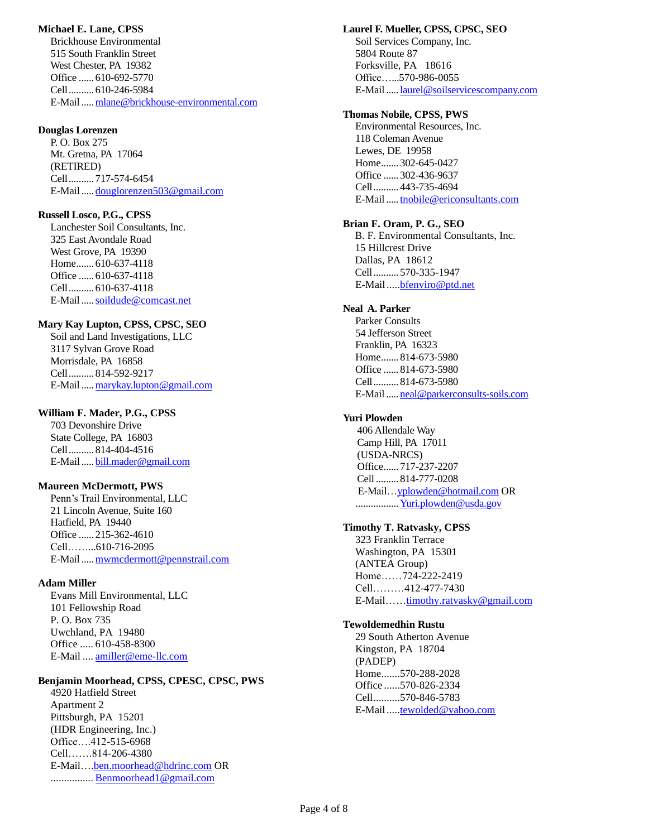#### **Michael E. Lane, CPSS**

Brickhouse Environmental 515 South Franklin Street West Chester, PA 19382 Office ......610-692-5770 Cell..........610-246-5984 E-Mail....[.mlane@brickhouse-environmental.com](mailto:mlane@brickhouse-environmental.com)

#### **Douglas Lorenzen**

P. O. Box 275 Mt. Gretna, PA 17064 (RETIRED) Cell..........717-574-6454 E-Mail....[.douglorenzen503@gmail.com](mailto:douglorenzen503@gmail.com)

### **Russell Losco, P.G., CPSS**

Lanchester Soil Consultants, Inc. 325 East Avondale Road West Grove, PA 19390 Home.......610-637-4118 Office ......610-637-4118 Cell..........610-637-4118 E-Mail....[.soildude@comcast.net](mailto:soildude@comcast.net)

#### **Mary Kay Lupton, CPSS, CPSC, SEO**

Soil and Land Investigations, LLC 3117 Sylvan Grove Road Morrisdale, PA 16858 Cell..........814-592-9217 E-Mail....[.marykay.lupton@gmail.com](mailto:marykay.lupton@gmail.com)

#### **William F. Mader, P.G., CPSS**

703 Devonshire Drive State College, PA 16803 Cell..........814-404-4516 E-Mail....[.bill.mader@gmail.com](mailto:bill.mader@gmail.com)

### **Maureen McDermott, PWS**

Penn's Trail Environmental, LLC 21 Lincoln Avenue, Suite 160 Hatfield, PA 19440 Office ......215-362-4610 Cell……...610-716-2095 E-Mail....[.mwmcdermott@pennstrail.com](mailto:mwmcdermott@piedmontsoils.com)

### **Adam Miller**

Evans Mill Environmental, LLC 101 Fellowship Road P. O. Box 735 Uwchland, PA 19480 Office ..... 610-458-8300 E-Mail .... [amiller@eme-llc.com](mailto:amiller@eme-llc.com) 

#### **Benjamin Moorhead, CPSS, CPESC, CPSC, PWS**

4920 Hatfield Street Apartment 2 Pittsburgh, PA 15201 (HDR Engineering, Inc.) Office….412-515-6968 Cell…….814-206-4380 E-Mail[….ben.moorhead@hdrinc.com](mailto:ben.moorhead@hdrinc.com) OR ................ [Benmoorhead1@gmail.com](mailto:Benmoorhead1@gmail.com)

#### **Laurel F. Mueller, CPSS, CPSC, SEO**

Soil Services Company, Inc. 5804 Route 87 Forksville, PA 18616 Office…...570-986-0055 E-Mail....[.laurel@soilservicescompany.com](mailto:laurel@soilservicescompany.com)

#### **Thomas Nobile, CPSS, PWS**

Environmental Resources, Inc. 118 Coleman Avenue Lewes, DE 19958 Home.......302-645-0427 Office ......302-436-9637 Cell..........443-735-4694 E-Mail....[.tnobile@ericonsultants.com](mailto:tnobile@ericonsultants.com)

### **Brian F. Oram, P. G., SEO**

B. F. Environmental Consultants, Inc. 15 Hillcrest Drive Dallas, PA 18612 Cell..........570-335-1947 E-Mail....[.bfenviro@ptd.net](mailto:bfenviro@ptd.net)

### **Neal A. Parker**

Parker Consults 54 Jefferson Street Franklin, PA 16323 Home.......814-673-5980 Office ......814-673-5980 Cell..........814-673-5980 E-Mail.....<u>neal@parkerconsults-soils.com</u>

### **Yuri Plowden**

406 Allendale Way Camp Hill, PA 17011 (USDA-NRCS) Office......717-237-2207 Cell .........814-777-0208 E-Mail[…yplowden@hotmail.com](mailto:yplowden@hotmail.com) OR ...................<u>Yuri.plowden@usda.gov</u>

#### **Timothy T. Ratvasky, CPSS**

323 Franklin Terrace Washington, PA 15301 (ANTEA Group) Home……724-222-2419 Cell………412-477-7430 E-Mail…[…timothy.ratvasky@gmail.com](mailto:timothy.ratvasky@gmail.com)

#### **Tewoldemedhin Rustu**

29 South Atherton Avenue Kingston, PA 18704 (PADEP) Home.......570-288-2028 Office ......570-826-2334 Cell..........570-846-5783 E-Mail....[.tewolded@yahoo.com](mailto:tewolded@yahoo.com)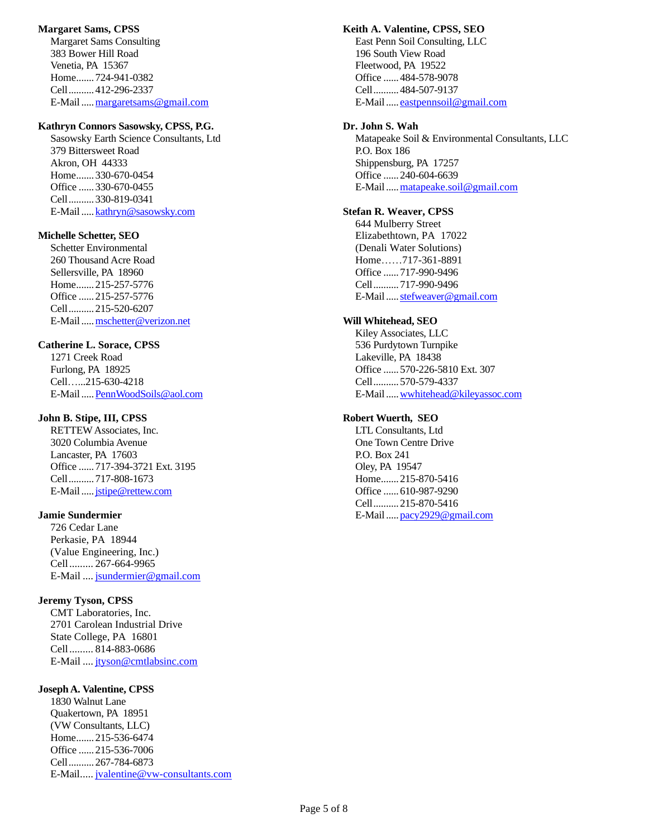#### **Margaret Sams, CPSS**

Margaret Sams Consulting 383 Bower Hill Road Venetia, PA 15367 Home.......724-941-0382 Cell..........412-296-2337 E-Mail..... margaretsams@gmail.com

#### **Kathryn Connors Sasowsky, CPSS, P.G.**

Sasowsky Earth Science Consultants, Ltd 379 Bittersweet Road Akron, OH 44333 Home.......330-670-0454 Office ......330-670-0455 Cell..........330-819-0341 E-Mail....[.kathryn@sasowsky.com](mailto:kathryn@sasowsky.com) 

#### **Michelle Schetter, SEO**

Schetter Environmental 260 Thousand Acre Road Sellersville, PA 18960 Home.......215-257-5776 Office ......215-257-5776 Cell..........215-520-6207 E-Mail..... mschetter@verizon.net

### **Catherine L. Sorace, CPSS**

1271 Creek Road Furlong, PA 18925 Cell…...215-630-4218 E-Mail....[.PennWoodSoils@aol.com](mailto:PennWoodSoils@aol.com)

### **John B. Stipe, III, CPSS**

RETTEW Associates, Inc. 3020 Columbia Avenue Lancaster, PA 17603 Office ......717-394-3721 Ext. 3195 Cell..........717-808-1673 E-Mail....[.jstipe@rettew.com](mailto:jstipe@rettew.com)

#### **Jamie Sundermier**

726 Cedar Lane Perkasie, PA 18944 (Value Engineering, Inc.) Cell......... 267-664-9965 E-Mail .... [jsundermier@gmail.com](mailto:jsundermier@gmail.com)

### **Jeremy Tyson, CPSS**

CMT Laboratories, Inc. 2701 Carolean Industrial Drive State College, PA 16801 Cell......... 814-883-0686 E-Mail .... [jtyson@cmtlabsinc.com](mailto:jtyson@cmtlabsinc.com)

#### **Joseph A. Valentine, CPSS**

1830 Walnut Lane Quakertown, PA 18951 (VW Consultants, LLC) Home.......215-536-6474 Office ......215-536-7006 Cell..........267-784-6873 E-Mail..... [jvalentine@vw-consultants.com](mailto:jvalentine@vw-consultants.com)

#### **Keith A. Valentine, CPSS, SEO**

East Penn Soil Consulting, LLC 196 South View Road Fleetwood, PA 19522 Office ......484-578-9078 Cell..........484-507-9137 E-Mail..... eastpennsoil@gmail.com

#### **Dr. John S. Wah**

Matapeake Soil & Environmental Consultants, LLC P.O. Box 186 Shippensburg, PA 17257 Office ......240-604-6639 E-Mail....[.matapeake.soil@gmail.com](mailto:matapeake.soil@gmail.com)

#### **Stefan R. Weaver, CPSS**

644 Mulberry Street Elizabethtown, PA 17022 (Denali Water Solutions) Home……717-361-8891 Office ......717-990-9496 Cell..........717-990-9496 E-Mail..... stefweaver@gmail.com

### **Will Whitehead, SEO**

Kiley Associates, LLC 536 Purdytown Turnpike Lakeville, PA 18438 Office ......570-226-5810 Ext. 307 Cell..........570-579-4337 E-Mail..... wwhitehead@kileyassoc.com

### **Robert Wuerth, SEO**

LTL Consultants, Ltd One Town Centre Drive P.O. Box 241 Oley, PA 19547 Home.......215-870-5416 Office ......610-987-9290 Cell..........215-870-5416 E-Mail....[.pacy2929@gmail.com](mailto:pacy2929@gmail.com)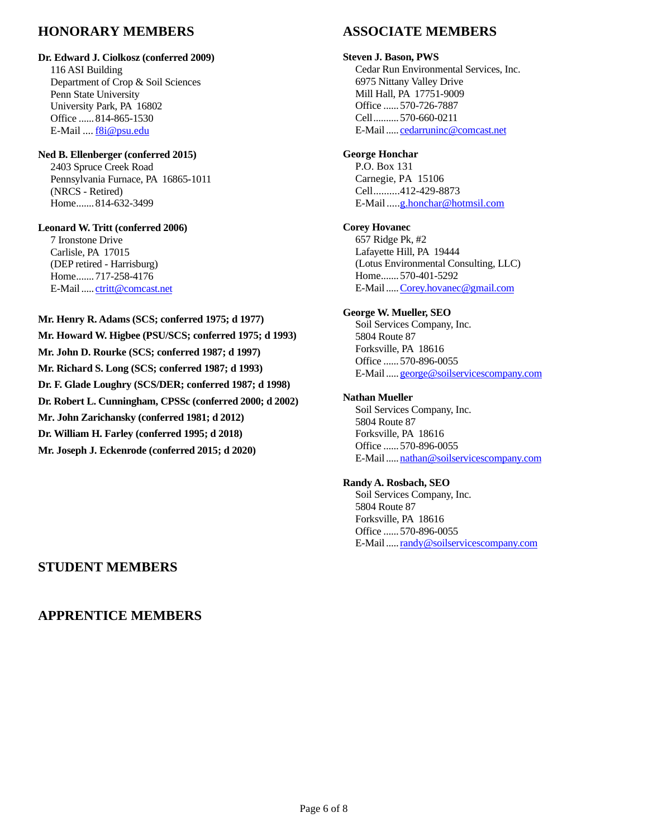# **HONORARY MEMBERS**

### **Dr. Edward J. Ciolkosz (conferred 2009)**

116 ASI Building Department of Crop & Soil Sciences Penn State University University Park, PA 16802 Office ......814-865-1530 E-Mail .... [f8i@psu.edu](mailto:f8i@psu.edu)

#### **Ned B. Ellenberger (conferred 2015)**

2403 Spruce Creek Road Pennsylvania Furnace, PA 16865-1011 (NRCS - Retired) Home.......814-632-3499

**Leonard W. Tritt (conferred 2006)** 7 Ironstone Drive Carlisle, PA 17015 (DEP retired - Harrisburg) Home.......717-258-4176 E-Mail..... [ctritt@comcast.net](mailto:ctritt@comcast.net)

#### **Mr. Henry R. Adams (SCS; conferred 1975; d 1977)**

**Mr. Howard W. Higbee (PSU/SCS; conferred 1975; d 1993) Mr. John D. Rourke (SCS; conferred 1987; d 1997) Mr. Richard S. Long (SCS; conferred 1987; d 1993) Dr. F. Glade Loughry (SCS/DER; conferred 1987; d 1998) Dr. Robert L. Cunningham, CPSSc (conferred 2000; d 2002) Mr. John Zarichansky (conferred 1981; d 2012) Dr. William H. Farley (conferred 1995; d 2018) Mr. Joseph J. Eckenrode (conferred 2015; d 2020)**

# **ASSOCIATE MEMBERS**

## **Steven J. Bason, PWS**

Cedar Run Environmental Services, Inc. 6975 Nittany Valley Drive Mill Hall, PA 17751-9009 Office ......570-726-7887 Cell..........570-660-0211 E-Mail..... [cedarruninc@comcast.net](mailto:cedarruninc@comcast.net)

# **George Honchar**

P.O. Box 131 Carnegie, PA 15106 Cell..........412-429-8873 E-Mail....[.g.honchar@hotmsil.com](mailto:g.honchar@hotmsil.com)

# **Corey Hovanec**

657 Ridge Pk, #2 Lafayette Hill, PA 19444 (Lotus Environmental Consulting, LLC) Home.......570-401-5292 E-Mail....[.Corey.hovanec@gmail.com](mailto:Corey.hovanec@gmail.com)

## **George W. Mueller, SEO**

Soil Services Company, Inc. 5804 Route 87 Forksville, PA 18616 Office ......570-896-0055 E-Mail....[.george@soilservicescompany.com](mailto:george@soilservicescompany.com)

### **Nathan Mueller**

Soil Services Company, Inc. 5804 Route 87 Forksville, PA 18616 Office ......570-896-0055 E-Mail....[.nathan@soilservicescompany.com](mailto:nathan@soilservicescompany.com)

### **Randy A. Rosbach, SEO**

Soil Services Company, Inc. 5804 Route 87 Forksville, PA 18616 Office ......570-896-0055 E-Mail....[.randy@soilservicescompany.com](mailto:randy@soilservicescompany.com)

# **STUDENT MEMBERS**

# **APPRENTICE MEMBERS**